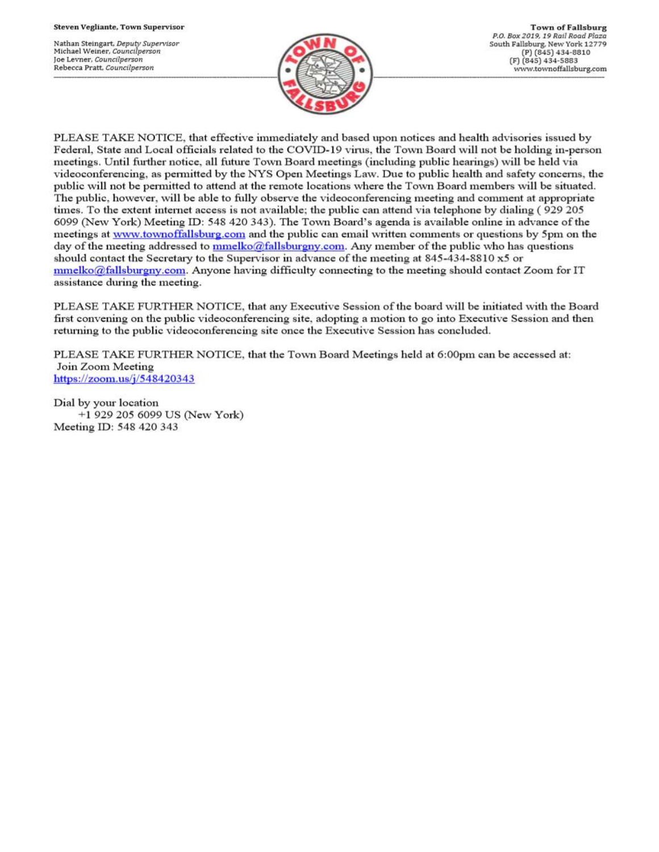Nathan Steingart, Deputy Supervisor Michael Weiner, Councilperson Joe Levner, Councilperson Rebecca Pratt, Councilperson



PLEASE TAKE NOTICE, that effective immediately and based upon notices and health advisories issued by Federal, State and Local officials related to the COVID-19 virus, the Town Board will not be holding in-person meetings. Until further notice, all future Town Board meetings (including public hearings) will be held via videoconferencing, as permitted by the NYS Open Meetings Law. Due to public health and safety concerns, the public will not be permitted to attend at the remote locations where the Town Board members will be situated. The public, however, will be able to fully observe the videoconferencing meeting and comment at appropriate times. To the extent internet access is not available; the public can attend via telephone by dialing (929 205 6099 (New York) Meeting ID: 548 420 343). The Town Board's agenda is available online in advance of the meetings at www.townoffallsburg.com and the public can email written comments or questions by 5pm on the day of the meeting addressed to  $\frac{mmelko@fallsburgny.com}{mclubuygny.com}$ . Any member of the public who has questions should contact the Secretary to the Supervisor in advance of the meeting at 845-434-8810 x5 or  $mmelko@fallsburgny.com.$  Anyone having difficulty connecting to the meeting should contact Zoom for IT assistance during the meeting.

PLEASE TAKE FURTHER NOTICE, that any Executive Session of the board will be initiated with the Board first convening on the public videoconferencing site, adopting a motion to go into Executive Session and then returning to the public videoconferencing site once the Executive Session has concluded.

PLEASE TAKE FURTHER NOTICE, that the Town Board Meetings held at 6:00pm can be accessed at: Join Zoom Meeting https://zoom.us/j/548420343

Dial by your location +1 929 205 6099 US (New York) Meeting ID: 548 420 343